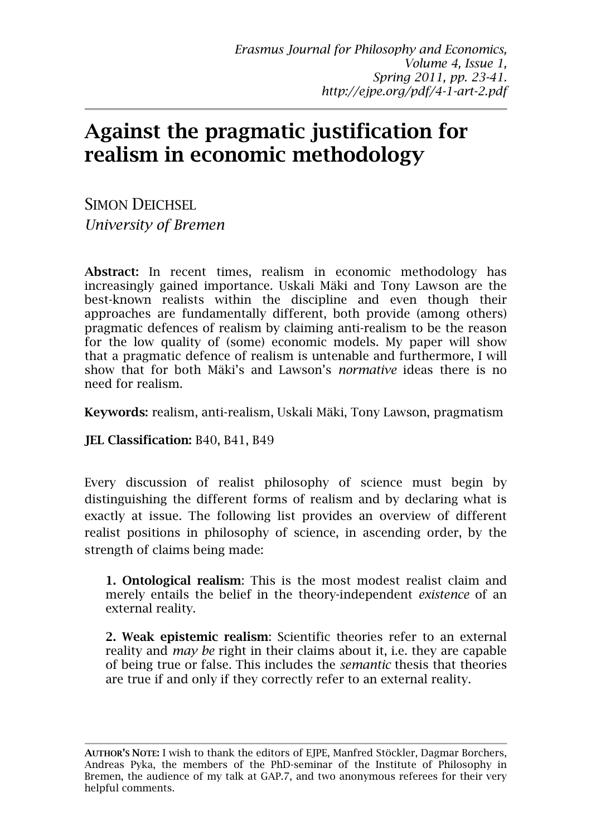# **Against the pragmatic justification for realism in economic methodology**

SIMON DEICHSEL *University of Bremen* 

**Abstract:** In recent times, realism in economic methodology has increasingly gained importance. Uskali Mäki and Tony Lawson are the best-known realists within the discipline and even though their approaches are fundamentally different, both provide (among others) pragmatic defences of realism by claiming anti-realism to be the reason for the low quality of (some) economic models. My paper will show that a pragmatic defence of realism is untenable and furthermore, I will show that for both Mäki's and Lawson's *normative* ideas there is no need for realism.

**Keywords:** realism, anti-realism, Uskali Mäki, Tony Lawson, pragmatism

**JEL Classification:** B40, B41, B49

Every discussion of realist philosophy of science must begin by distinguishing the different forms of realism and by declaring what is exactly at issue. The following list provides an overview of different realist positions in philosophy of science, in ascending order, by the strength of claims being made:

**1. Ontological realism**: This is the most modest realist claim and merely entails the belief in the theory-independent *existence* of an external reality.

**2. Weak epistemic realism**: Scientific theories refer to an external reality and *may be* right in their claims about it, i.e. they are capable of being true or false. This includes the *semantic* thesis that theories are true if and only if they correctly refer to an external reality.

**AUTHOR'S NOTE:** I wish to thank the editors of EJPE, Manfred Stöckler, Dagmar Borchers, Andreas Pyka, the members of the PhD-seminar of the Institute of Philosophy in Bremen, the audience of my talk at GAP.7, and two anonymous referees for their very helpful comments.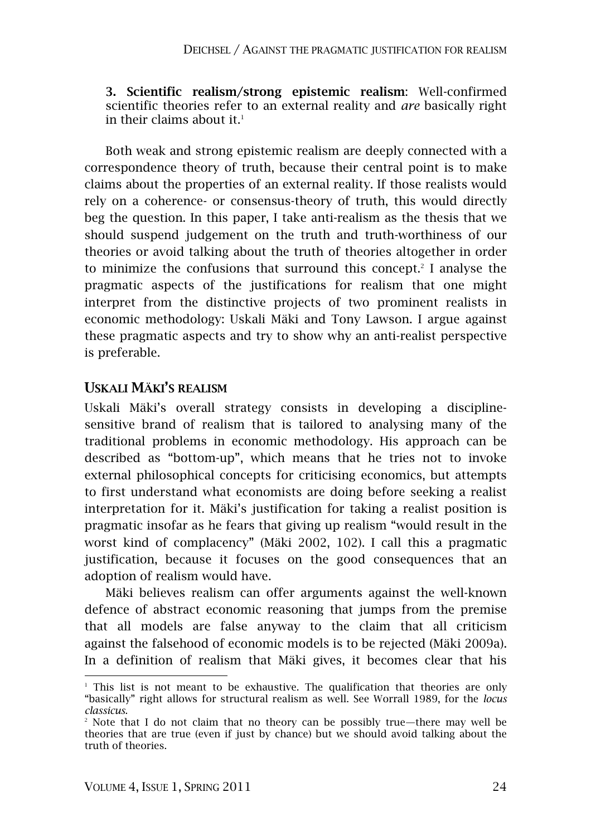**3. Scientific realism/strong epistemic realism**: Well-confirmed scientific theories refer to an external reality and *are* basically right in their claims about it.<sup>1</sup>

Both weak and strong epistemic realism are deeply connected with a correspondence theory of truth, because their central point is to make claims about the properties of an external reality. If those realists would rely on a coherence- or consensus-theory of truth, this would directly beg the question. In this paper, I take anti-realism as the thesis that we should suspend judgement on the truth and truth-worthiness of our theories or avoid talking about the truth of theories altogether in order to minimize the confusions that surround this concept.<sup>2</sup> I analyse the pragmatic aspects of the justifications for realism that one might interpret from the distinctive projects of two prominent realists in economic methodology: Uskali Mäki and Tony Lawson. I argue against these pragmatic aspects and try to show why an anti-realist perspective is preferable.

## **USKALI MÄKI'S REALISM**

Uskali Mäki's overall strategy consists in developing a disciplinesensitive brand of realism that is tailored to analysing many of the traditional problems in economic methodology. His approach can be described as "bottom-up", which means that he tries not to invoke external philosophical concepts for criticising economics, but attempts to first understand what economists are doing before seeking a realist interpretation for it. Mäki's justification for taking a realist position is pragmatic insofar as he fears that giving up realism "would result in the worst kind of complacency" (Mäki 2002, 102). I call this a pragmatic justification, because it focuses on the good consequences that an adoption of realism would have.

Mäki believes realism can offer arguments against the well-known defence of abstract economic reasoning that jumps from the premise that all models are false anyway to the claim that all criticism against the falsehood of economic models is to be rejected (Mäki 2009a). In a definition of realism that Mäki gives, it becomes clear that his

<sup>&</sup>lt;sup>1</sup> This list is not meant to be exhaustive. The qualification that theories are only "basically" right allows for structural realism as well. See Worrall 1989, for the *locus classicus*.

<sup>2</sup> Note that I do not claim that no theory can be possibly true—there may well be theories that are true (even if just by chance) but we should avoid talking about the truth of theories.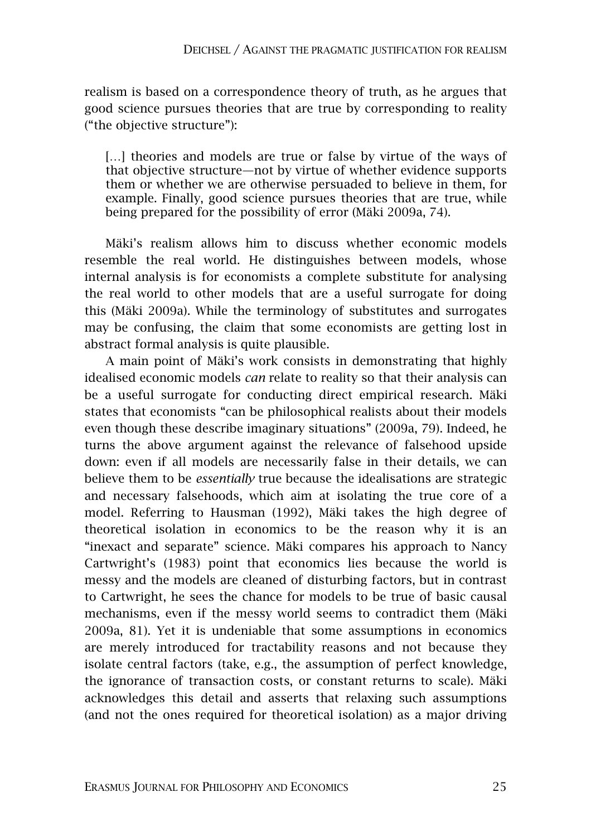realism is based on a correspondence theory of truth, as he argues that good science pursues theories that are true by corresponding to reality ("the objective structure"):

[...] theories and models are true or false by virtue of the ways of that objective structure—not by virtue of whether evidence supports them or whether we are otherwise persuaded to believe in them, for example. Finally, good science pursues theories that are true, while being prepared for the possibility of error (Mäki 2009a, 74).

Mäki's realism allows him to discuss whether economic models resemble the real world. He distinguishes between models, whose internal analysis is for economists a complete substitute for analysing the real world to other models that are a useful surrogate for doing this (Mäki 2009a). While the terminology of substitutes and surrogates may be confusing, the claim that some economists are getting lost in abstract formal analysis is quite plausible.

A main point of Mäki's work consists in demonstrating that highly idealised economic models *can* relate to reality so that their analysis can be a useful surrogate for conducting direct empirical research. Mäki states that economists "can be philosophical realists about their models even though these describe imaginary situations" (2009a, 79). Indeed, he turns the above argument against the relevance of falsehood upside down: even if all models are necessarily false in their details, we can believe them to be *essentially* true because the idealisations are strategic and necessary falsehoods, which aim at isolating the true core of a model. Referring to Hausman (1992), Mäki takes the high degree of theoretical isolation in economics to be the reason why it is an "inexact and separate" science. Mäki compares his approach to Nancy Cartwright's (1983) point that economics lies because the world is messy and the models are cleaned of disturbing factors, but in contrast to Cartwright, he sees the chance for models to be true of basic causal mechanisms, even if the messy world seems to contradict them (Mäki 2009a, 81). Yet it is undeniable that some assumptions in economics are merely introduced for tractability reasons and not because they isolate central factors (take, e.g., the assumption of perfect knowledge, the ignorance of transaction costs, or constant returns to scale). Mäki acknowledges this detail and asserts that relaxing such assumptions (and not the ones required for theoretical isolation) as a major driving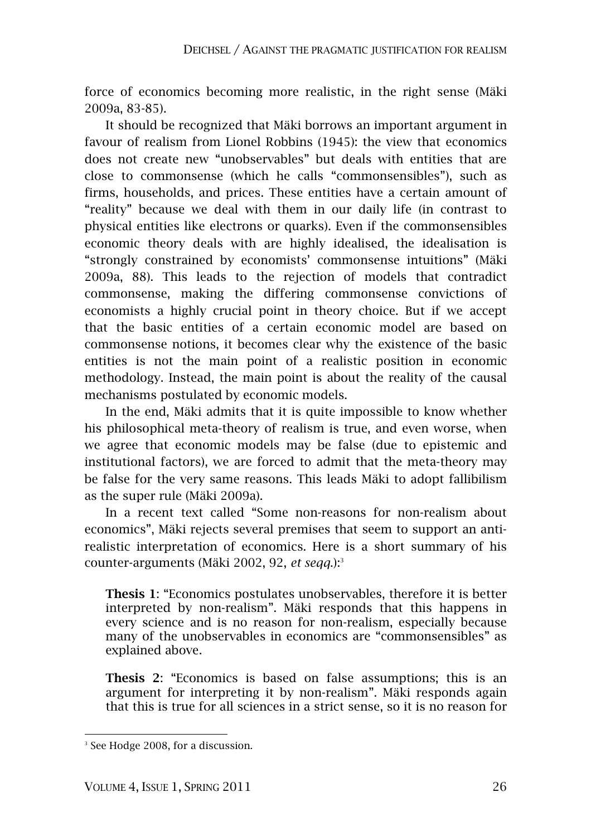force of economics becoming more realistic, in the right sense (Mäki 2009a, 83-85).

It should be recognized that Mäki borrows an important argument in favour of realism from Lionel Robbins (1945): the view that economics does not create new "unobservables" but deals with entities that are close to commonsense (which he calls "commonsensibles"), such as firms, households, and prices. These entities have a certain amount of "reality" because we deal with them in our daily life (in contrast to physical entities like electrons or quarks). Even if the commonsensibles economic theory deals with are highly idealised, the idealisation is "strongly constrained by economists' commonsense intuitions" (Mäki 2009a, 88). This leads to the rejection of models that contradict commonsense, making the differing commonsense convictions of economists a highly crucial point in theory choice. But if we accept that the basic entities of a certain economic model are based on commonsense notions, it becomes clear why the existence of the basic entities is not the main point of a realistic position in economic methodology. Instead, the main point is about the reality of the causal mechanisms postulated by economic models.

In the end, Mäki admits that it is quite impossible to know whether his philosophical meta-theory of realism is true, and even worse, when we agree that economic models may be false (due to epistemic and institutional factors), we are forced to admit that the meta-theory may be false for the very same reasons. This leads Mäki to adopt fallibilism as the super rule (Mäki 2009a).

In a recent text called "Some non-reasons for non-realism about economics", Mäki rejects several premises that seem to support an antirealistic interpretation of economics. Here is a short summary of his counter-arguments (Mäki 2002, 92, *et seqq*.):<sup>3</sup>

**Thesis 1**: "Economics postulates unobservables, therefore it is better interpreted by non-realism". Mäki responds that this happens in every science and is no reason for non-realism, especially because many of the unobservables in economics are "commonsensibles" as explained above.

**Thesis 2**: "Economics is based on false assumptions; this is an argument for interpreting it by non-realism". Mäki responds again that this is true for all sciences in a strict sense, so it is no reason for

<sup>3</sup> See Hodge 2008, for a discussion.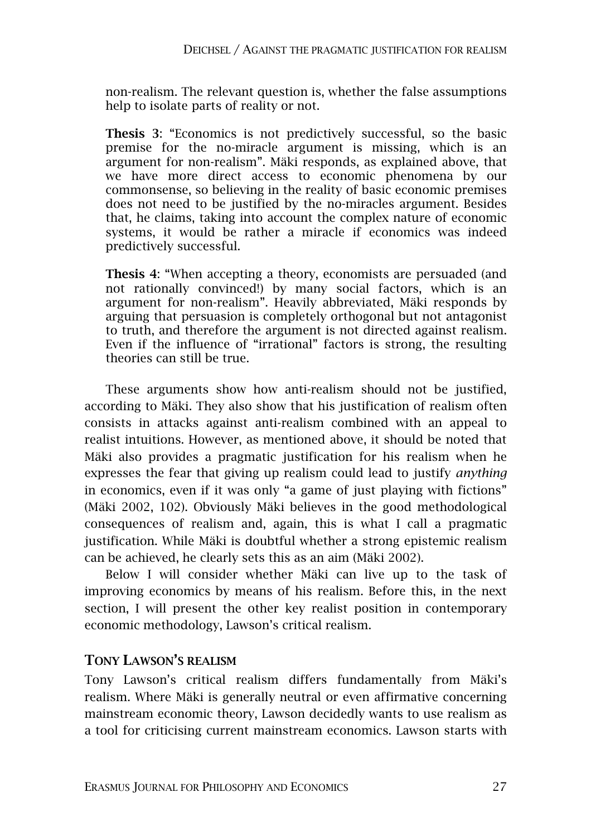non-realism. The relevant question is, whether the false assumptions help to isolate parts of reality or not.

**Thesis 3**: "Economics is not predictively successful, so the basic premise for the no-miracle argument is missing, which is an argument for non-realism". Mäki responds, as explained above, that we have more direct access to economic phenomena by our commonsense, so believing in the reality of basic economic premises does not need to be justified by the no-miracles argument. Besides that, he claims, taking into account the complex nature of economic systems, it would be rather a miracle if economics was indeed predictively successful.

**Thesis 4**: "When accepting a theory, economists are persuaded (and not rationally convinced!) by many social factors, which is an argument for non-realism". Heavily abbreviated, Mäki responds by arguing that persuasion is completely orthogonal but not antagonist to truth, and therefore the argument is not directed against realism. Even if the influence of "irrational" factors is strong, the resulting theories can still be true.

These arguments show how anti-realism should not be justified, according to Mäki. They also show that his justification of realism often consists in attacks against anti-realism combined with an appeal to realist intuitions. However, as mentioned above, it should be noted that Mäki also provides a pragmatic justification for his realism when he expresses the fear that giving up realism could lead to justify *anything* in economics, even if it was only "a game of just playing with fictions" (Mäki 2002, 102). Obviously Mäki believes in the good methodological consequences of realism and, again, this is what I call a pragmatic justification. While Mäki is doubtful whether a strong epistemic realism can be achieved, he clearly sets this as an aim (Mäki 2002).

Below I will consider whether Mäki can live up to the task of improving economics by means of his realism. Before this, in the next section, I will present the other key realist position in contemporary economic methodology, Lawson's critical realism.

# **TONY LAWSON'S REALISM**

Tony Lawson's critical realism differs fundamentally from Mäki's realism. Where Mäki is generally neutral or even affirmative concerning mainstream economic theory, Lawson decidedly wants to use realism as a tool for criticising current mainstream economics. Lawson starts with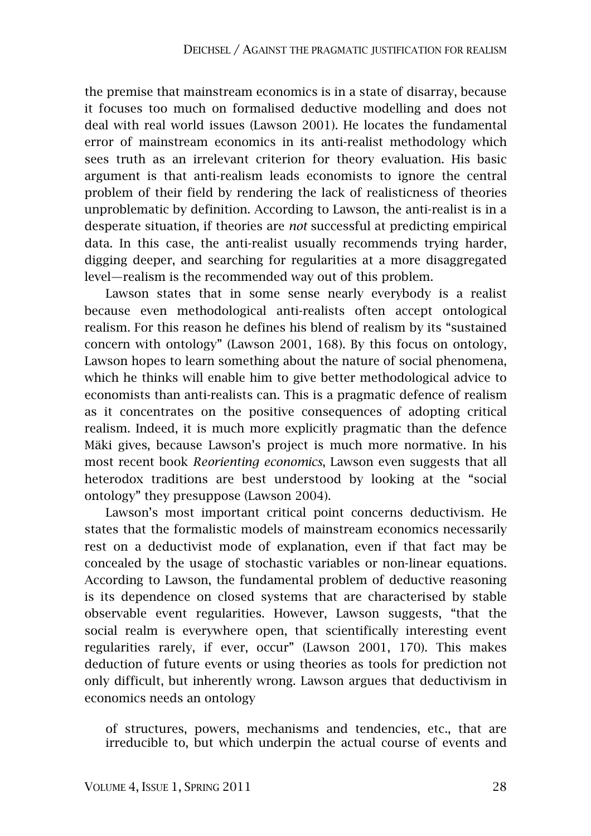the premise that mainstream economics is in a state of disarray, because it focuses too much on formalised deductive modelling and does not deal with real world issues (Lawson 2001). He locates the fundamental error of mainstream economics in its anti-realist methodology which sees truth as an irrelevant criterion for theory evaluation. His basic argument is that anti-realism leads economists to ignore the central problem of their field by rendering the lack of realisticness of theories unproblematic by definition. According to Lawson, the anti-realist is in a desperate situation, if theories are *not* successful at predicting empirical data. In this case, the anti-realist usually recommends trying harder, digging deeper, and searching for regularities at a more disaggregated level—realism is the recommended way out of this problem.

Lawson states that in some sense nearly everybody is a realist because even methodological anti-realists often accept ontological realism. For this reason he defines his blend of realism by its "sustained concern with ontology" (Lawson 2001, 168). By this focus on ontology, Lawson hopes to learn something about the nature of social phenomena, which he thinks will enable him to give better methodological advice to economists than anti-realists can. This is a pragmatic defence of realism as it concentrates on the positive consequences of adopting critical realism. Indeed, it is much more explicitly pragmatic than the defence Mäki gives, because Lawson's project is much more normative. In his most recent book *Reorienting economics*, Lawson even suggests that all heterodox traditions are best understood by looking at the "social ontology" they presuppose (Lawson 2004).

Lawson's most important critical point concerns deductivism. He states that the formalistic models of mainstream economics necessarily rest on a deductivist mode of explanation, even if that fact may be concealed by the usage of stochastic variables or non-linear equations. According to Lawson, the fundamental problem of deductive reasoning is its dependence on closed systems that are characterised by stable observable event regularities. However, Lawson suggests, "that the social realm is everywhere open, that scientifically interesting event regularities rarely, if ever, occur" (Lawson 2001, 170). This makes deduction of future events or using theories as tools for prediction not only difficult, but inherently wrong. Lawson argues that deductivism in economics needs an ontology

of structures, powers, mechanisms and tendencies, etc., that are irreducible to, but which underpin the actual course of events and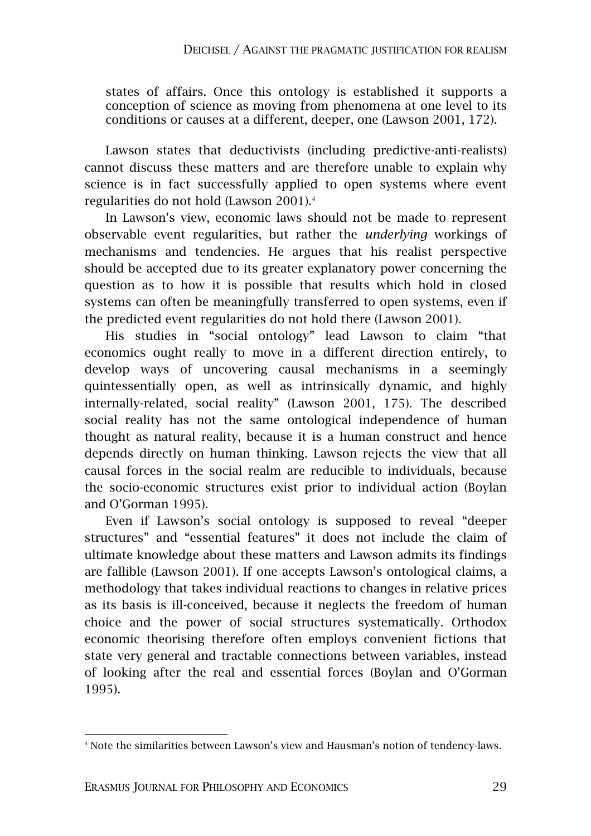states of affairs. Once this ontology is established it supports a conception of science as moving from phenomena at one level to its conditions or causes at a different, deeper, one (Lawson 2001, 172).

Lawson states that deductivists (including predictive-anti-realists) cannot discuss these matters and are therefore unable to explain why science is in fact successfully applied to open systems where event regularities do not hold (Lawson 2001).<sup>4</sup>

In Lawson's view, economic laws should not be made to represent observable event regularities, but rather the *underlying* workings of mechanisms and tendencies. He argues that his realist perspective should be accepted due to its greater explanatory power concerning the question as to how it is possible that results which hold in closed systems can often be meaningfully transferred to open systems, even if the predicted event regularities do not hold there (Lawson 2001).

His studies in "social ontology" lead Lawson to claim "that economics ought really to move in a different direction entirely, to develop ways of uncovering causal mechanisms in a seemingly quintessentially open, as well as intrinsically dynamic, and highly internally-related, social reality" (Lawson 2001, 175). The described social reality has not the same ontological independence of human thought as natural reality, because it is a human construct and hence depends directly on human thinking. Lawson rejects the view that all causal forces in the social realm are reducible to individuals, because the socio-economic structures exist prior to individual action (Boylan and O'Gorman 1995).

Even if Lawson's social ontology is supposed to reveal "deeper structures" and "essential features" it does not include the claim of ultimate knowledge about these matters and Lawson admits its findings are fallible (Lawson 2001). If one accepts Lawson's ontological claims, a methodology that takes individual reactions to changes in relative prices as its basis is ill-conceived, because it neglects the freedom of human choice and the power of social structures systematically. Orthodox economic theorising therefore often employs convenient fictions that state very general and tractable connections between variables, instead of looking after the real and essential forces (Boylan and O'Gorman 1995).

 $\overline{a}$ 4 Note the similarities between Lawson's view and Hausman's notion of tendency-laws.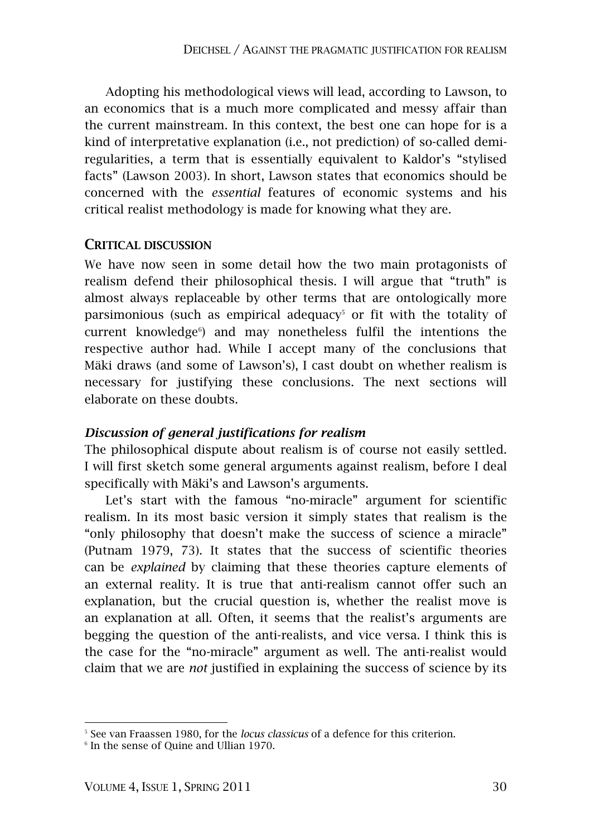Adopting his methodological views will lead, according to Lawson, to an economics that is a much more complicated and messy affair than the current mainstream. In this context, the best one can hope for is a kind of interpretative explanation (i.e., not prediction) of so-called demiregularities, a term that is essentially equivalent to Kaldor's "stylised facts" (Lawson 2003). In short, Lawson states that economics should be concerned with the *essential* features of economic systems and his critical realist methodology is made for knowing what they are.

#### **CRITICAL DISCUSSION**

We have now seen in some detail how the two main protagonists of realism defend their philosophical thesis. I will argue that "truth" is almost always replaceable by other terms that are ontologically more  $\beta$  parsimonious (such as empirical adequacy<sup>5</sup> or fit with the totality of current knowledge<sup>6</sup>) and may nonetheless fulfil the intentions the respective author had. While I accept many of the conclusions that Mäki draws (and some of Lawson's), I cast doubt on whether realism is necessary for justifying these conclusions. The next sections will elaborate on these doubts.

### *Discussion of general justifications for realism*

The philosophical dispute about realism is of course not easily settled. I will first sketch some general arguments against realism, before I deal specifically with Mäki's and Lawson's arguments.

Let's start with the famous "no-miracle" argument for scientific realism. In its most basic version it simply states that realism is the "only philosophy that doesn't make the success of science a miracle" (Putnam 1979, 73). It states that the success of scientific theories can be *explained* by claiming that these theories capture elements of an external reality. It is true that anti-realism cannot offer such an explanation, but the crucial question is, whether the realist move is an explanation at all. Often, it seems that the realist's arguments are begging the question of the anti-realists, and vice versa. I think this is the case for the "no-miracle" argument as well. The anti-realist would claim that we are *not* justified in explaining the success of science by its

<sup>5</sup> See van Fraassen 1980, for the *locus classicus* of a defence for this criterion.

<sup>6</sup> In the sense of Quine and Ullian 1970.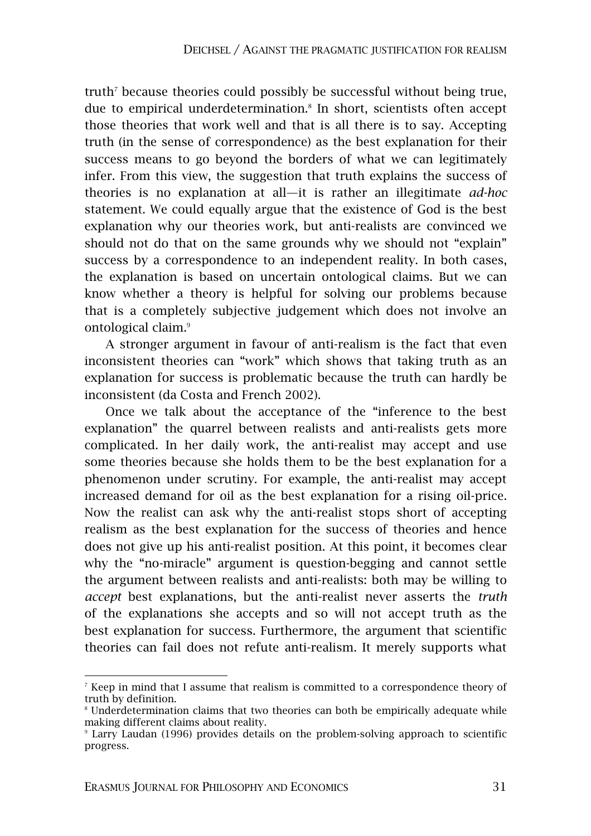truth<sup>7</sup> because theories could possibly be successful without being true, due to empirical underdetermination.<sup>8</sup> In short, scientists often accept those theories that work well and that is all there is to say. Accepting truth (in the sense of correspondence) as the best explanation for their success means to go beyond the borders of what we can legitimately infer. From this view, the suggestion that truth explains the success of theories is no explanation at all—it is rather an illegitimate *ad-hoc* statement. We could equally argue that the existence of God is the best explanation why our theories work, but anti-realists are convinced we should not do that on the same grounds why we should not "explain" success by a correspondence to an independent reality. In both cases, the explanation is based on uncertain ontological claims. But we can know whether a theory is helpful for solving our problems because that is a completely subjective judgement which does not involve an ontological claim.<sup>9</sup>

A stronger argument in favour of anti-realism is the fact that even inconsistent theories can "work" which shows that taking truth as an explanation for success is problematic because the truth can hardly be inconsistent (da Costa and French 2002).

Once we talk about the acceptance of the "inference to the best explanation" the quarrel between realists and anti-realists gets more complicated. In her daily work, the anti-realist may accept and use some theories because she holds them to be the best explanation for a phenomenon under scrutiny. For example, the anti-realist may accept increased demand for oil as the best explanation for a rising oil-price. Now the realist can ask why the anti-realist stops short of accepting realism as the best explanation for the success of theories and hence does not give up his anti-realist position. At this point, it becomes clear why the "no-miracle" argument is question-begging and cannot settle the argument between realists and anti-realists: both may be willing to *accept* best explanations, but the anti-realist never asserts the *truth* of the explanations she accepts and so will not accept truth as the best explanation for success. Furthermore, the argument that scientific theories can fail does not refute anti-realism. It merely supports what

 $^7$  Keep in mind that I assume that realism is committed to a correspondence theory of truth by definition.

<sup>8</sup> Underdetermination claims that two theories can both be empirically adequate while making different claims about reality.

<sup>9</sup> Larry Laudan (1996) provides details on the problem-solving approach to scientific progress.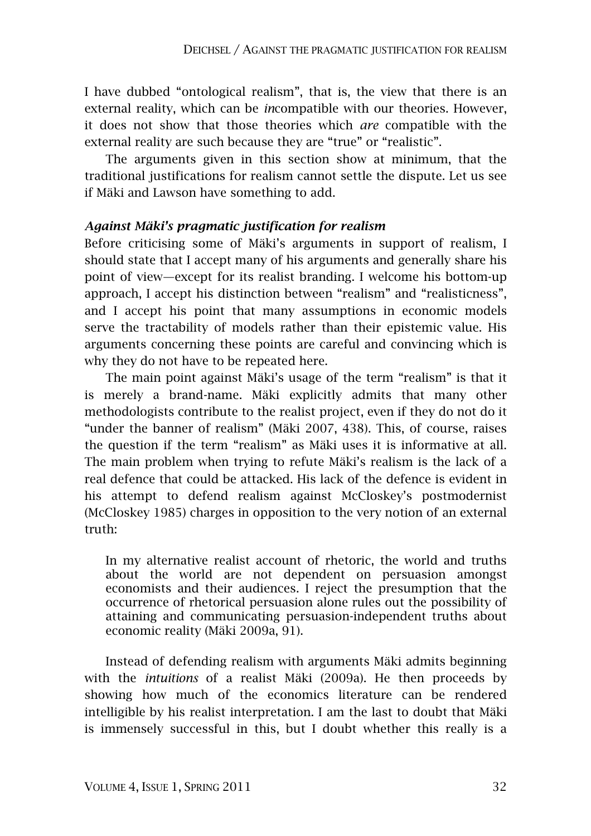I have dubbed "ontological realism", that is, the view that there is an external reality, which can be *in*compatible with our theories. However, it does not show that those theories which *are* compatible with the external reality are such because they are "true" or "realistic".

The arguments given in this section show at minimum, that the traditional justifications for realism cannot settle the dispute. Let us see if Mäki and Lawson have something to add.

### *Against Mäki's pragmatic justification for realism*

Before criticising some of Mäki's arguments in support of realism, I should state that I accept many of his arguments and generally share his point of view—except for its realist branding. I welcome his bottom-up approach, I accept his distinction between "realism" and "realisticness", and I accept his point that many assumptions in economic models serve the tractability of models rather than their epistemic value. His arguments concerning these points are careful and convincing which is why they do not have to be repeated here.

The main point against Mäki's usage of the term "realism" is that it is merely a brand-name. Mäki explicitly admits that many other methodologists contribute to the realist project, even if they do not do it "under the banner of realism" (Mäki 2007, 438). This, of course, raises the question if the term "realism" as Mäki uses it is informative at all. The main problem when trying to refute Mäki's realism is the lack of a real defence that could be attacked. His lack of the defence is evident in his attempt to defend realism against McCloskey's postmodernist (McCloskey 1985) charges in opposition to the very notion of an external truth:

In my alternative realist account of rhetoric, the world and truths about the world are not dependent on persuasion amongst economists and their audiences. I reject the presumption that the occurrence of rhetorical persuasion alone rules out the possibility of attaining and communicating persuasion-independent truths about economic reality (Mäki 2009a, 91).

Instead of defending realism with arguments Mäki admits beginning with the *intuitions* of a realist Mäki (2009a). He then proceeds by showing how much of the economics literature can be rendered intelligible by his realist interpretation. I am the last to doubt that Mäki is immensely successful in this, but I doubt whether this really is a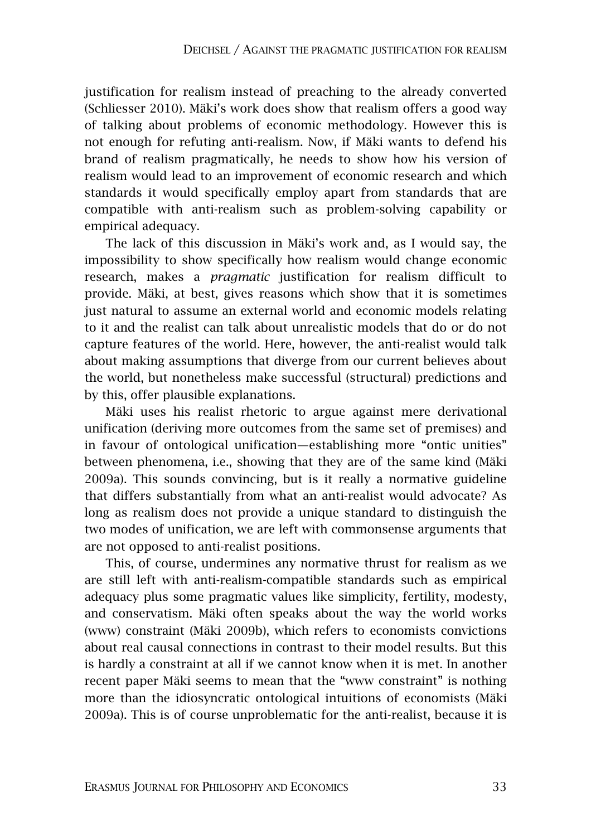justification for realism instead of preaching to the already converted (Schliesser 2010). Mäki's work does show that realism offers a good way of talking about problems of economic methodology. However this is not enough for refuting anti-realism. Now, if Mäki wants to defend his brand of realism pragmatically, he needs to show how his version of realism would lead to an improvement of economic research and which standards it would specifically employ apart from standards that are compatible with anti-realism such as problem-solving capability or empirical adequacy.

The lack of this discussion in Mäki's work and, as I would say, the impossibility to show specifically how realism would change economic research, makes a *pragmatic* justification for realism difficult to provide. Mäki, at best, gives reasons which show that it is sometimes just natural to assume an external world and economic models relating to it and the realist can talk about unrealistic models that do or do not capture features of the world. Here, however, the anti-realist would talk about making assumptions that diverge from our current believes about the world, but nonetheless make successful (structural) predictions and by this, offer plausible explanations.

Mäki uses his realist rhetoric to argue against mere derivational unification (deriving more outcomes from the same set of premises) and in favour of ontological unification—establishing more "ontic unities" between phenomena, i.e., showing that they are of the same kind (Mäki 2009a). This sounds convincing, but is it really a normative guideline that differs substantially from what an anti-realist would advocate? As long as realism does not provide a unique standard to distinguish the two modes of unification, we are left with commonsense arguments that are not opposed to anti-realist positions.

This, of course, undermines any normative thrust for realism as we are still left with anti-realism-compatible standards such as empirical adequacy plus some pragmatic values like simplicity, fertility, modesty, and conservatism. Mäki often speaks about the way the world works (www) constraint (Mäki 2009b), which refers to economists convictions about real causal connections in contrast to their model results. But this is hardly a constraint at all if we cannot know when it is met. In another recent paper Mäki seems to mean that the "www constraint" is nothing more than the idiosyncratic ontological intuitions of economists (Mäki 2009a). This is of course unproblematic for the anti-realist, because it is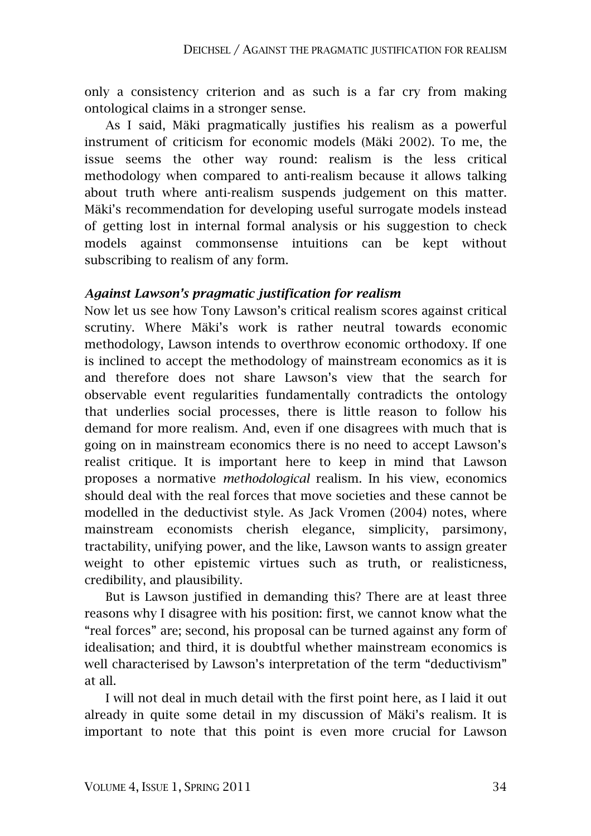only a consistency criterion and as such is a far cry from making ontological claims in a stronger sense.

As I said, Mäki pragmatically justifies his realism as a powerful instrument of criticism for economic models (Mäki 2002). To me, the issue seems the other way round: realism is the less critical methodology when compared to anti-realism because it allows talking about truth where anti-realism suspends judgement on this matter. Mäki's recommendation for developing useful surrogate models instead of getting lost in internal formal analysis or his suggestion to check models against commonsense intuitions can be kept without subscribing to realism of any form.

### *Against Lawson's pragmatic justification for realism*

Now let us see how Tony Lawson's critical realism scores against critical scrutiny. Where Mäki's work is rather neutral towards economic methodology, Lawson intends to overthrow economic orthodoxy. If one is inclined to accept the methodology of mainstream economics as it is and therefore does not share Lawson's view that the search for observable event regularities fundamentally contradicts the ontology that underlies social processes, there is little reason to follow his demand for more realism. And, even if one disagrees with much that is going on in mainstream economics there is no need to accept Lawson's realist critique. It is important here to keep in mind that Lawson proposes a normative *methodological* realism. In his view, economics should deal with the real forces that move societies and these cannot be modelled in the deductivist style. As Jack Vromen (2004) notes, where mainstream economists cherish elegance, simplicity, parsimony, tractability, unifying power, and the like, Lawson wants to assign greater weight to other epistemic virtues such as truth, or realisticness, credibility, and plausibility.

But is Lawson justified in demanding this? There are at least three reasons why I disagree with his position: first, we cannot know what the "real forces" are; second, his proposal can be turned against any form of idealisation; and third, it is doubtful whether mainstream economics is well characterised by Lawson's interpretation of the term "deductivism" at all.

I will not deal in much detail with the first point here, as I laid it out already in quite some detail in my discussion of Mäki's realism. It is important to note that this point is even more crucial for Lawson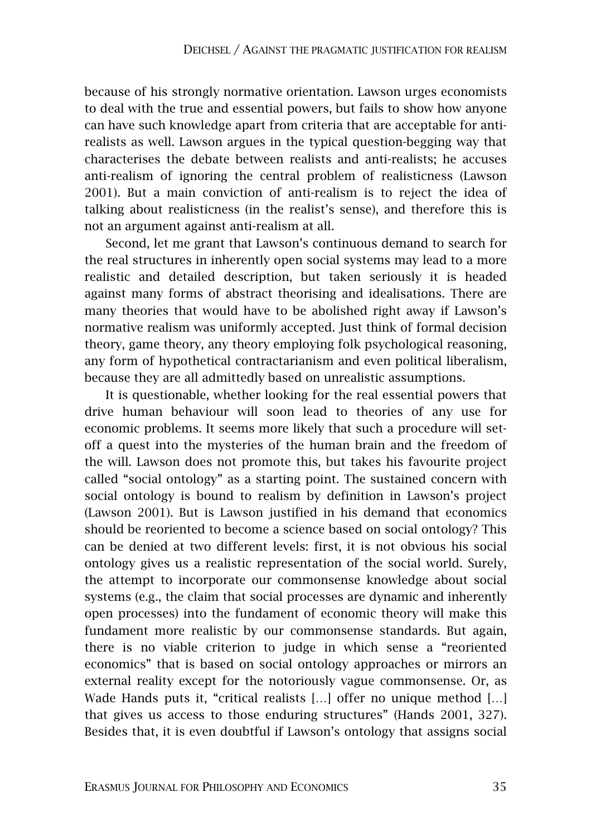because of his strongly normative orientation. Lawson urges economists to deal with the true and essential powers, but fails to show how anyone can have such knowledge apart from criteria that are acceptable for antirealists as well. Lawson argues in the typical question-begging way that characterises the debate between realists and anti-realists; he accuses anti-realism of ignoring the central problem of realisticness (Lawson 2001). But a main conviction of anti-realism is to reject the idea of talking about realisticness (in the realist's sense), and therefore this is not an argument against anti-realism at all.

Second, let me grant that Lawson's continuous demand to search for the real structures in inherently open social systems may lead to a more realistic and detailed description, but taken seriously it is headed against many forms of abstract theorising and idealisations. There are many theories that would have to be abolished right away if Lawson's normative realism was uniformly accepted. Just think of formal decision theory, game theory, any theory employing folk psychological reasoning, any form of hypothetical contractarianism and even political liberalism, because they are all admittedly based on unrealistic assumptions.

It is questionable, whether looking for the real essential powers that drive human behaviour will soon lead to theories of any use for economic problems. It seems more likely that such a procedure will setoff a quest into the mysteries of the human brain and the freedom of the will. Lawson does not promote this, but takes his favourite project called "social ontology" as a starting point. The sustained concern with social ontology is bound to realism by definition in Lawson's project (Lawson 2001). But is Lawson justified in his demand that economics should be reoriented to become a science based on social ontology? This can be denied at two different levels: first, it is not obvious his social ontology gives us a realistic representation of the social world. Surely, the attempt to incorporate our commonsense knowledge about social systems (e.g., the claim that social processes are dynamic and inherently open processes) into the fundament of economic theory will make this fundament more realistic by our commonsense standards. But again, there is no viable criterion to judge in which sense a "reoriented economics" that is based on social ontology approaches or mirrors an external reality except for the notoriously vague commonsense. Or, as Wade Hands puts it, "critical realists […] offer no unique method […] that gives us access to those enduring structures" (Hands 2001, 327). Besides that, it is even doubtful if Lawson's ontology that assigns social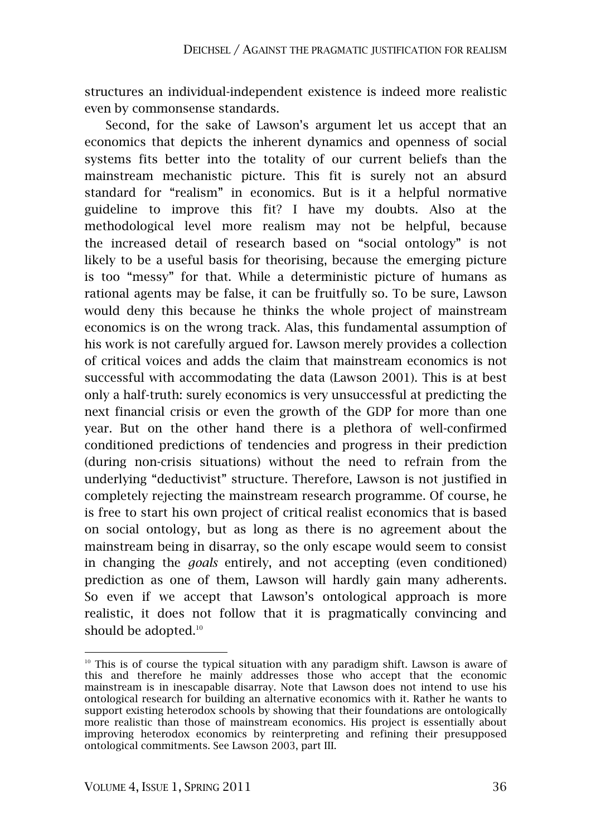structures an individual-independent existence is indeed more realistic even by commonsense standards.

Second, for the sake of Lawson's argument let us accept that an economics that depicts the inherent dynamics and openness of social systems fits better into the totality of our current beliefs than the mainstream mechanistic picture. This fit is surely not an absurd standard for "realism" in economics. But is it a helpful normative guideline to improve this fit? I have my doubts. Also at the methodological level more realism may not be helpful, because the increased detail of research based on "social ontology" is not likely to be a useful basis for theorising, because the emerging picture is too "messy" for that. While a deterministic picture of humans as rational agents may be false, it can be fruitfully so. To be sure, Lawson would deny this because he thinks the whole project of mainstream economics is on the wrong track. Alas, this fundamental assumption of his work is not carefully argued for. Lawson merely provides a collection of critical voices and adds the claim that mainstream economics is not successful with accommodating the data (Lawson 2001). This is at best only a half-truth: surely economics is very unsuccessful at predicting the next financial crisis or even the growth of the GDP for more than one year. But on the other hand there is a plethora of well-confirmed conditioned predictions of tendencies and progress in their prediction (during non-crisis situations) without the need to refrain from the underlying "deductivist" structure. Therefore, Lawson is not justified in completely rejecting the mainstream research programme. Of course, he is free to start his own project of critical realist economics that is based on social ontology, but as long as there is no agreement about the mainstream being in disarray, so the only escape would seem to consist in changing the *goals* entirely, and not accepting (even conditioned) prediction as one of them, Lawson will hardly gain many adherents. So even if we accept that Lawson's ontological approach is more realistic, it does not follow that it is pragmatically convincing and should be adopted.<sup>10</sup>

<sup>&</sup>lt;sup>10</sup> This is of course the typical situation with any paradigm shift. Lawson is aware of this and therefore he mainly addresses those who accept that the economic mainstream is in inescapable disarray. Note that Lawson does not intend to use his ontological research for building an alternative economics with it. Rather he wants to support existing heterodox schools by showing that their foundations are ontologically more realistic than those of mainstream economics. His project is essentially about improving heterodox economics by reinterpreting and refining their presupposed ontological commitments. See Lawson 2003, part III.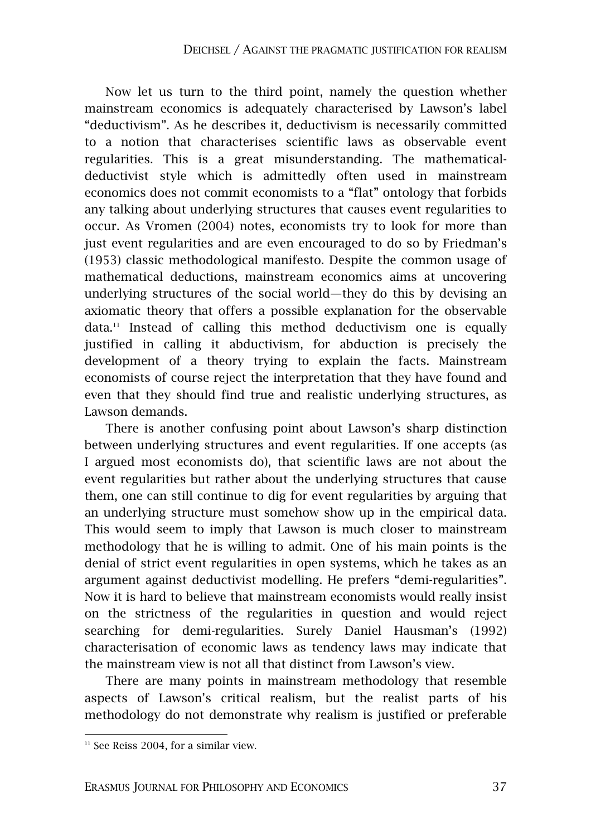Now let us turn to the third point, namely the question whether mainstream economics is adequately characterised by Lawson's label "deductivism". As he describes it, deductivism is necessarily committed to a notion that characterises scientific laws as observable event regularities. This is a great misunderstanding. The mathematicaldeductivist style which is admittedly often used in mainstream economics does not commit economists to a "flat" ontology that forbids any talking about underlying structures that causes event regularities to occur. As Vromen (2004) notes, economists try to look for more than just event regularities and are even encouraged to do so by Friedman's (1953) classic methodological manifesto. Despite the common usage of mathematical deductions, mainstream economics aims at uncovering underlying structures of the social world—they do this by devising an axiomatic theory that offers a possible explanation for the observable  $data.<sup>11</sup>$  Instead of calling this method deductivism one is equally justified in calling it abductivism, for abduction is precisely the development of a theory trying to explain the facts. Mainstream economists of course reject the interpretation that they have found and even that they should find true and realistic underlying structures, as Lawson demands.

There is another confusing point about Lawson's sharp distinction between underlying structures and event regularities. If one accepts (as I argued most economists do), that scientific laws are not about the event regularities but rather about the underlying structures that cause them, one can still continue to dig for event regularities by arguing that an underlying structure must somehow show up in the empirical data. This would seem to imply that Lawson is much closer to mainstream methodology that he is willing to admit. One of his main points is the denial of strict event regularities in open systems, which he takes as an argument against deductivist modelling. He prefers "demi-regularities". Now it is hard to believe that mainstream economists would really insist on the strictness of the regularities in question and would reject searching for demi-regularities. Surely Daniel Hausman's (1992) characterisation of economic laws as tendency laws may indicate that the mainstream view is not all that distinct from Lawson's view.

There are many points in mainstream methodology that resemble aspects of Lawson's critical realism, but the realist parts of his methodology do not demonstrate why realism is justified or preferable

 $11$  See Reiss 2004, for a similar view.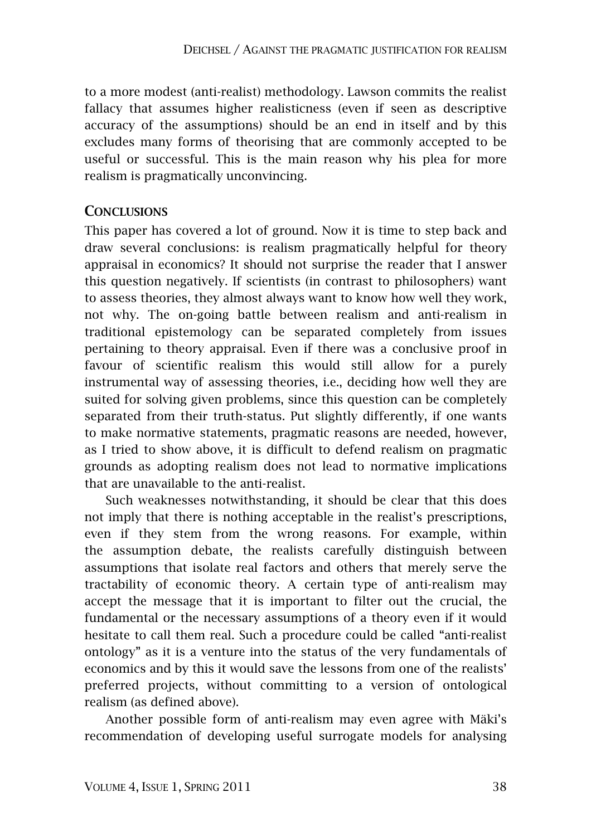to a more modest (anti-realist) methodology. Lawson commits the realist fallacy that assumes higher realisticness (even if seen as descriptive accuracy of the assumptions) should be an end in itself and by this excludes many forms of theorising that are commonly accepted to be useful or successful. This is the main reason why his plea for more realism is pragmatically unconvincing.

### **CONCLUSIONS**

This paper has covered a lot of ground. Now it is time to step back and draw several conclusions: is realism pragmatically helpful for theory appraisal in economics? It should not surprise the reader that I answer this question negatively. If scientists (in contrast to philosophers) want to assess theories, they almost always want to know how well they work, not why. The on-going battle between realism and anti-realism in traditional epistemology can be separated completely from issues pertaining to theory appraisal. Even if there was a conclusive proof in favour of scientific realism this would still allow for a purely instrumental way of assessing theories, i.e., deciding how well they are suited for solving given problems, since this question can be completely separated from their truth-status. Put slightly differently, if one wants to make normative statements, pragmatic reasons are needed, however, as I tried to show above, it is difficult to defend realism on pragmatic grounds as adopting realism does not lead to normative implications that are unavailable to the anti-realist.

Such weaknesses notwithstanding, it should be clear that this does not imply that there is nothing acceptable in the realist's prescriptions, even if they stem from the wrong reasons. For example, within the assumption debate, the realists carefully distinguish between assumptions that isolate real factors and others that merely serve the tractability of economic theory. A certain type of anti-realism may accept the message that it is important to filter out the crucial, the fundamental or the necessary assumptions of a theory even if it would hesitate to call them real. Such a procedure could be called "anti-realist ontology" as it is a venture into the status of the very fundamentals of economics and by this it would save the lessons from one of the realists' preferred projects, without committing to a version of ontological realism (as defined above).

Another possible form of anti-realism may even agree with Mäki's recommendation of developing useful surrogate models for analysing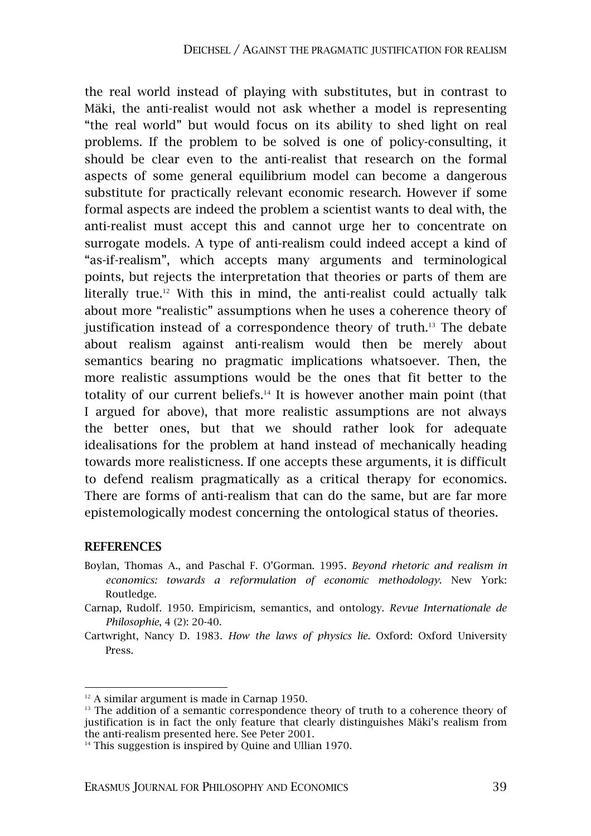the real world instead of playing with substitutes, but in contrast to Mäki, the anti-realist would not ask whether a model is representing "the real world" but would focus on its ability to shed light on real problems. If the problem to be solved is one of policy-consulting, it should be clear even to the anti-realist that research on the formal aspects of some general equilibrium model can become a dangerous substitute for practically relevant economic research. However if some formal aspects are indeed the problem a scientist wants to deal with, the anti-realist must accept this and cannot urge her to concentrate on surrogate models. A type of anti-realism could indeed accept a kind of "as-if-realism", which accepts many arguments and terminological points, but rejects the interpretation that theories or parts of them are literally true.<sup>12</sup> With this in mind, the anti-realist could actually talk about more "realistic" assumptions when he uses a coherence theory of justification instead of a correspondence theory of truth.<sup>13</sup> The debate about realism against anti-realism would then be merely about semantics bearing no pragmatic implications whatsoever. Then, the more realistic assumptions would be the ones that fit better to the totality of our current beliefs.14 It is however another main point (that I argued for above), that more realistic assumptions are not always the better ones, but that we should rather look for adequate idealisations for the problem at hand instead of mechanically heading towards more realisticness. If one accepts these arguments, it is difficult to defend realism pragmatically as a critical therapy for economics. There are forms of anti-realism that can do the same, but are far more epistemologically modest concerning the ontological status of theories.

#### **REFERENCES**

- Boylan, Thomas A., and Paschal F. O'Gorman. 1995. *Beyond rhetoric and realism in economics: towards a reformulation of economic methodology*. New York: Routledge.
- Carnap, Rudolf. 1950. Empiricism, semantics, and ontology. *Revue Internationale de Philosophie*, 4 (2): 20-40.
- Cartwright, Nancy D. 1983. *How the laws of physics lie*. Oxford: Oxford University Press.

 $12$  A similar argument is made in Carnap 1950.

<sup>&</sup>lt;sup>13</sup> The addition of a semantic correspondence theory of truth to a coherence theory of justification is in fact the only feature that clearly distinguishes Mäki's realism from the anti-realism presented here. See Peter 2001.

 $14$  This suggestion is inspired by Quine and Ullian 1970.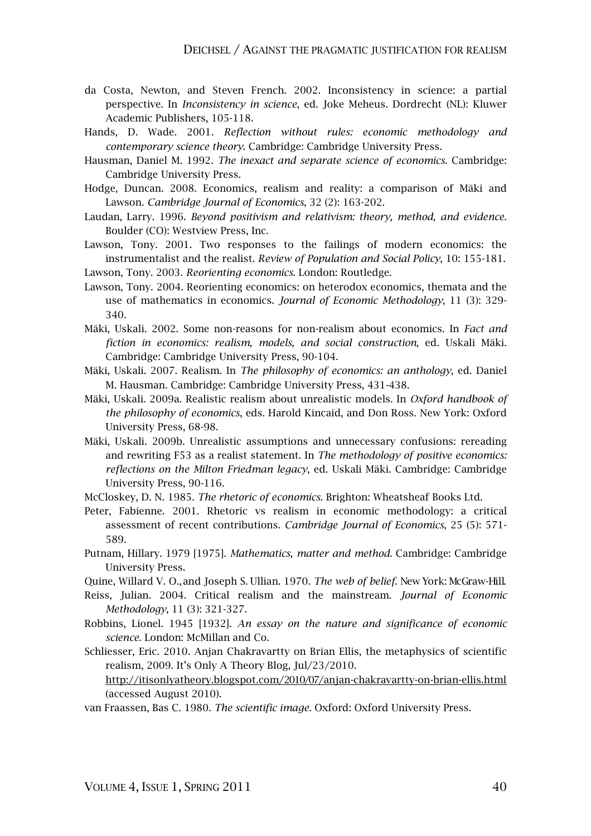- da Costa, Newton, and Steven French. 2002. Inconsistency in science: a partial perspective. In *Inconsistency in science*, ed. Joke Meheus. Dordrecht (NL): Kluwer Academic Publishers, 105-118.
- Hands, D. Wade. 2001. *Reflection without rules: economic methodology and contemporary science theory*. Cambridge: Cambridge University Press.
- Hausman, Daniel M. 1992. *The inexact and separate science of economics*. Cambridge: Cambridge University Press.
- Hodge, Duncan. 2008. Economics, realism and reality: a comparison of Mäki and Lawson. *Cambridge Journal of Economics*, 32 (2): 163-202.
- Laudan, Larry. 1996. *Beyond positivism and relativism: theory, method, and evidence*. Boulder (CO): Westview Press, Inc.
- Lawson, Tony. 2001. Two responses to the failings of modern economics: the instrumentalist and the realist. *Review of Population and Social Policy*, 10: 155-181. Lawson, Tony. 2003. *Reorienting economics*. London: Routledge.
- Lawson, Tony. 2004. Reorienting economics: on heterodox economics, themata and the use of mathematics in economics. *Journal of Economic Methodology*, 11 (3): 329- 340.
- Mäki, Uskali. 2002. Some non-reasons for non-realism about economics. In *Fact and fiction in economics: realism, models, and social construction*, ed. Uskali Mäki. Cambridge: Cambridge University Press, 90-104.
- Mäki, Uskali. 2007. Realism. In *The philosophy of economics: an anthology*, ed. Daniel M. Hausman. Cambridge: Cambridge University Press, 431-438.
- Mäki, Uskali. 2009a. Realistic realism about unrealistic models. In *Oxford handbook of the philosophy of economics*, eds. Harold Kincaid, and Don Ross. New York: Oxford University Press, 68-98.
- Mäki, Uskali. 2009b. Unrealistic assumptions and unnecessary confusions: rereading and rewriting F53 as a realist statement. In *The methodology of positive economics: reflections on the Milton Friedman legacy*, ed. Uskali Mäki. Cambridge: Cambridge University Press, 90-116.
- McCloskey, D. N. 1985. *The rhetoric of economics*. Brighton: Wheatsheaf Books Ltd.
- Peter, Fabienne. 2001. Rhetoric vs realism in economic methodology: a critical assessment of recent contributions. *Cambridge Journal of Economics*, 25 (5): 571- 589.
- Putnam, Hillary. 1979 [1975]. *Mathematics, matter and method*. Cambridge: Cambridge University Press.
- Quine, Willard V. O., and Joseph S. Ullian. 1970. *The web of belief*. New York: McGraw-Hill.
- Reiss, Julian. 2004. Critical realism and the mainstream. *Journal of Economic Methodology*, 11 (3): 321-327.
- Robbins, Lionel. 1945 [1932]. *An essay on the nature and significance of economic science*. London: McMillan and Co.
- Schliesser, Eric. 2010. Anjan Chakravartty on Brian Ellis, the metaphysics of scientific realism, 2009. It's Only A Theory Blog, Jul/23/2010.

http://itisonlyatheory.blogspot.com/2010/07/anjan-chakravartty-on-brian-ellis.html (accessed August 2010).

van Fraassen, Bas C. 1980. *The scientific image*. Oxford: Oxford University Press.